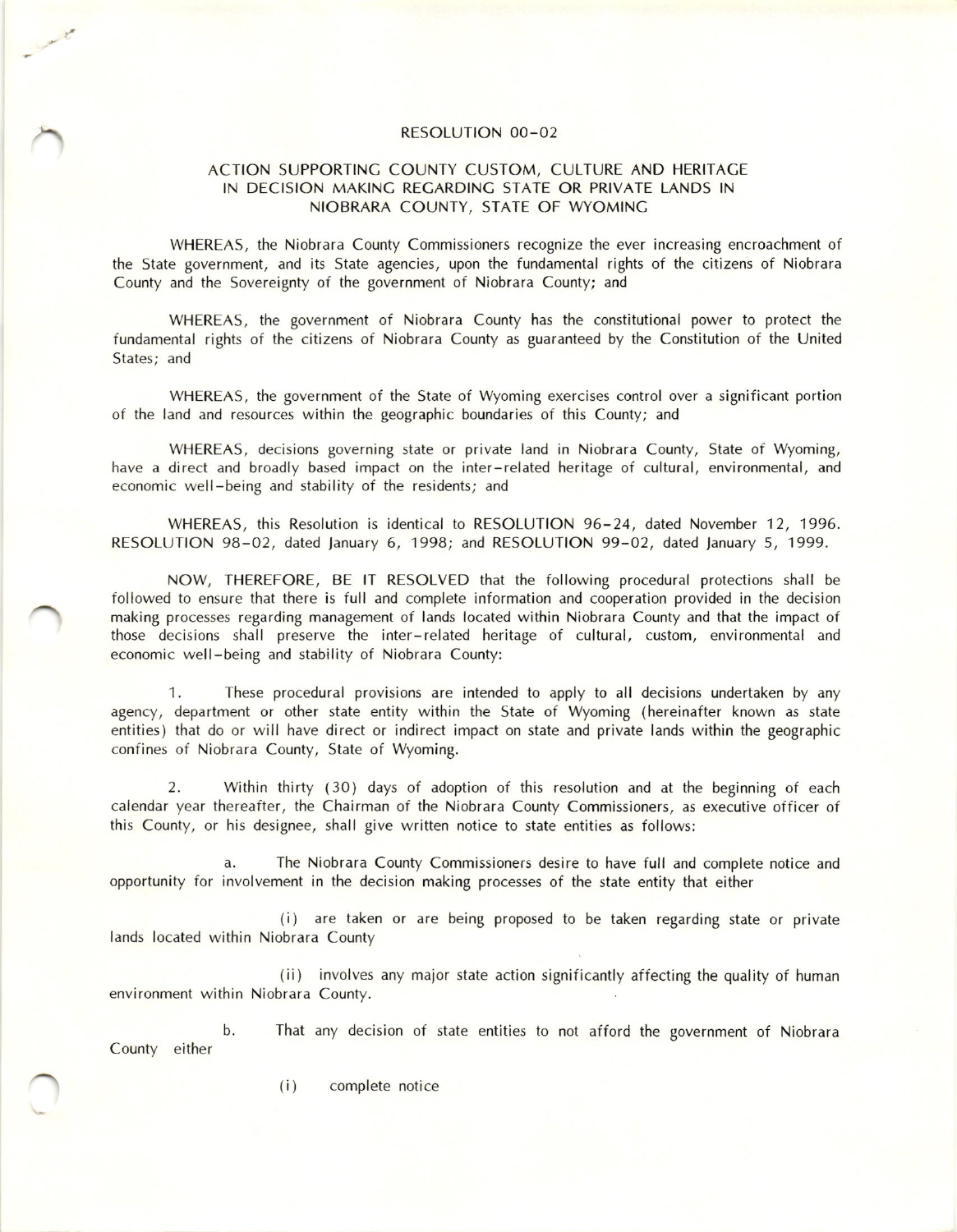## RESOLUTION OO-02

## ACTION SUPPORTINC COUNTY CUSTOM, CULTURE AND HERITACE IN DECISION MAKINC RECARDINC STATE OR PRIVATE LANDS IN NIOBRARA COUNTY, STATE OF WYOMINC

WHEREAS, the Niobrara County Commissioners recognize the ever increasing encroachment of the State government, and its State agencies, upon the fundamental rights of the citizens of Niobrara County and the Sovereignty of the government of Niobrara County; and

WHEREAS, the government of Niobrara County has the constitutional power to protect the fundamental rights of the citizens of Niobrara County as guaranteed by the Constitution of the United States: and

WHEREAS, the government of the State of Wyoming exercises control over a significant portion of the land and resources within the geographic boundaries of this County; and

WHEREAS, decisions governing state or private land in Niobrara County, State of Wyoming, have a direct and broadly based impact on the inter-related heritage of cultural, environmental, and economic well-being and stability of the residents; and

WHEREAS, this Resolution is identical to RESOLUTION 96-24, dated November 12, 1996. RESOLUTION 98-02, dated January 6, 1998; and RESOLUTION 99-02, dated January 5, 1999.

NOW, THEREFORE, BE lT RESOLVED that the following procedural protections shall be followed to ensure that there is full and complete information and cooperation provided in the decision making processes regarding management of lands located within Niobrara County and that the impact of those decisions shall preserve the inter-related heritage of cultural, custom, environmental and economic well-being and stability of Niobrara County;

1. These procedural provisions are intended to apply to all decisions undertaken by any agency, department or other state entity within the State of Wyoming (hereinafter known as state entities) that do or will have direct or indirect impact on state and private lands within the geographic confines of Niobrara County, State of Wyoming.

2. Within thirty (30) days of adoption of this resolution and at the beginning of each calendar year thereafter, the Chairman of the Niobrara County Commissioners, as executive officer of this County, or his designee, shall give written notice to state entities as follows:

a. The Niobrara County Commissioners desire to have full and complete notice and opportunity for involvement in the decision making processes of the state entity that either

(i) are taken or are being proposed to be taken regarding state or private lands located within Niobrara County

(ii) involves any major state action significantly affecting the quality of human environment within Niobrara County.

b. That any decision of state entities to not afford the government of Niobrara County either

(i) complete notice